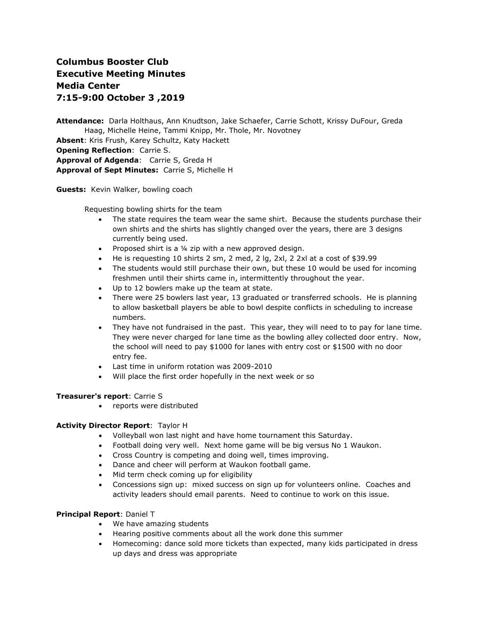# **Columbus Booster Club Executive Meeting Minutes Media Center 7:15-9:00 October 3 ,2019**

**Attendance:** Darla Holthaus, Ann Knudtson, Jake Schaefer, Carrie Schott, Krissy DuFour, Greda Haag, Michelle Heine, Tammi Knipp, Mr. Thole, Mr. Novotney **Absent**: Kris Frush, Karey Schultz, Katy Hackett **Opening Reflection**: Carrie S. **Approval of Adgenda**: Carrie S, Greda H **Approval of Sept Minutes:** Carrie S, Michelle H

**Guests:** Kevin Walker, bowling coach

Requesting bowling shirts for the team

- The state requires the team wear the same shirt. Because the students purchase their own shirts and the shirts has slightly changed over the years, there are 3 designs currently being used.
- Proposed shirt is a 1/4 zip with a new approved design.
- He is requesting 10 shirts 2 sm, 2 med, 2 lg, 2xl, 2 2xl at a cost of \$39.99
- The students would still purchase their own, but these 10 would be used for incoming freshmen until their shirts came in, intermittently throughout the year.
- Up to 12 bowlers make up the team at state.
- There were 25 bowlers last year, 13 graduated or transferred schools. He is planning to allow basketball players be able to bowl despite conflicts in scheduling to increase numbers.
- They have not fundraised in the past. This year, they will need to to pay for lane time. They were never charged for lane time as the bowling alley collected door entry. Now, the school will need to pay \$1000 for lanes with entry cost or \$1500 with no door entry fee.
- Last time in uniform rotation was 2009-2010
- Will place the first order hopefully in the next week or so

## **Treasurer's report**: Carrie S

• reports were distributed

## **Activity Director Report**: Taylor H

- Volleyball won last night and have home tournament this Saturday.
- Football doing very well. Next home game will be big versus No 1 Waukon.
- Cross Country is competing and doing well, times improving.
- Dance and cheer will perform at Waukon football game.
- Mid term check coming up for eligibility
- Concessions sign up: mixed success on sign up for volunteers online. Coaches and activity leaders should email parents. Need to continue to work on this issue.

## **Principal Report**: Daniel T

- We have amazing students
- Hearing positive comments about all the work done this summer
- Homecoming: dance sold more tickets than expected, many kids participated in dress up days and dress was appropriate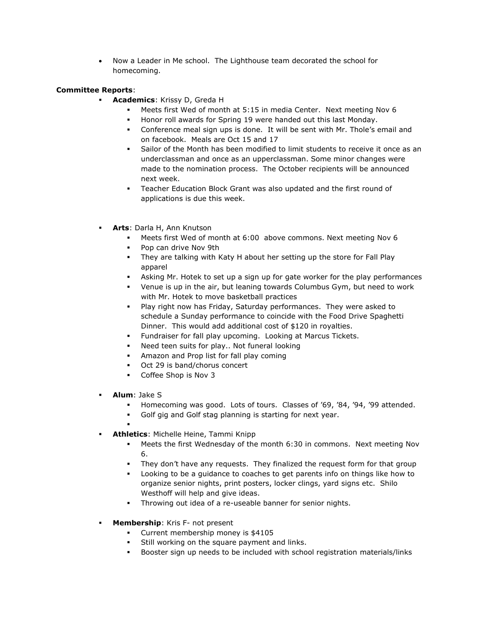• Now a Leader in Me school. The Lighthouse team decorated the school for homecoming.

## **Committee Reports**:

- **Academics**: Krissy D, Greda H
	- Meets first Wed of month at 5:15 in media Center. Next meeting Nov 6
	- Honor roll awards for Spring 19 were handed out this last Monday.
	- Conference meal sign ups is done. It will be sent with Mr. Thole's email and on facebook. Meals are Oct 15 and 17
	- Sailor of the Month has been modified to limit students to receive it once as an underclassman and once as an upperclassman. Some minor changes were made to the nomination process. The October recipients will be announced next week.
	- **EXECT** Teacher Education Block Grant was also updated and the first round of applications is due this week.
	- **Arts**: Darla H, Ann Knutson
		- Meets first Wed of month at 6:00 above commons. Next meeting Nov 6
		- Pop can drive Nov 9th
		- **•** They are talking with Katy H about her setting up the store for Fall Play apparel
		- Asking Mr. Hotek to set up a sign up for gate worker for the play performances
		- Venue is up in the air, but leaning towards Columbus Gym, but need to work with Mr. Hotek to move basketball practices
		- Play right now has Friday, Saturday performances. They were asked to schedule a Sunday performance to coincide with the Food Drive Spaghetti Dinner. This would add additional cost of \$120 in royalties.
		- Fundraiser for fall play upcoming. Looking at Marcus Tickets.
		- Need teen suits for play.. Not funeral looking
		- Amazon and Prop list for fall play coming
		- Oct 29 is band/chorus concert
		- Coffee Shop is Nov 3
	- **Alum**: Jake S
		- Homecoming was good. Lots of tours. Classes of '69, '84, '94, '99 attended.
		- Golf gig and Golf stag planning is starting for next year.
	- ▪ **Athletics**: Michelle Heine, Tammi Knipp
		- Meets the first Wednesday of the month 6:30 in commons. Next meeting Nov 6.
		- They don't have any requests. They finalized the request form for that group
		- Looking to be a guidance to coaches to get parents info on things like how to organize senior nights, print posters, locker clings, yard signs etc. Shilo Westhoff will help and give ideas.
		- Throwing out idea of a re-useable banner for senior nights.
	- **EXECUTE:** Membership: Kris F- not present
		- Current membership money is \$4105
		- **EXECT:** Still working on the square payment and links.
		- Booster sign up needs to be included with school registration materials/links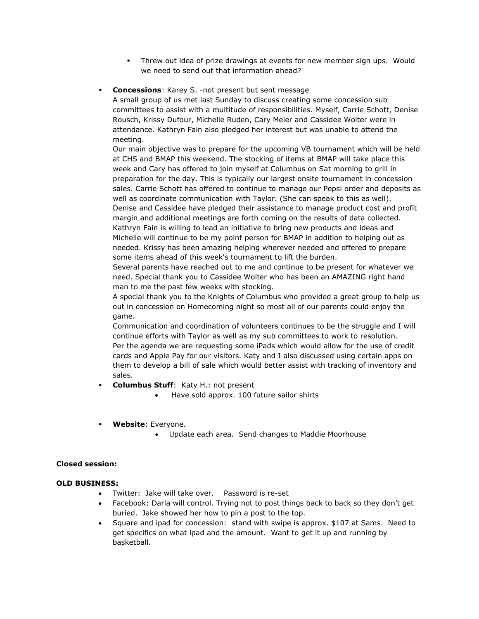- **•** Threw out idea of prize drawings at events for new member sign ups. Would we need to send out that information ahead?
- **Concessions:** Karey S. -not present but sent message

A small group of us met last Sunday to discuss creating some concession sub committees to assist with a multitude of responsibilities. Myself, Carrie Schott, Denise Rousch, Krissy Dufour, Michelle Ruden, Cary Meier and Cassidee Wolter were in attendance. Kathryn Fain also pledged her interest but was unable to attend the meeting.

Our main objective was to prepare for the upcoming VB tournament which will be held at CHS and BMAP this weekend. The stocking of items at BMAP will take place this week and Cary has offered to join myself at Columbus on Sat morning to grill in preparation for the day. This is typically our largest onsite tournament in concession sales. Carrie Schott has offered to continue to manage our Pepsi order and deposits as well as coordinate communication with Taylor. (She can speak to this as well). Denise and Cassidee have pledged their assistance to manage product cost and profit margin and additional meetings are forth coming on the results of data collected. Kathryn Fain is willing to lead an initiative to bring new products and ideas and Michelle will continue to be my point person for BMAP in addition to helping out as needed. Krissy has been amazing helping wherever needed and offered to prepare some items ahead of this week's tournament to lift the burden.

Several parents have reached out to me and continue to be present for whatever we need. Special thank you to Cassidee Wolter who has been an AMAZING right hand man to me the past few weeks with stocking.

A special thank you to the Knights of Columbus who provided a great group to help us out in concession on Homecoming night so most all of our parents could enjoy the game.

Communication and coordination of volunteers continues to be the struggle and I will continue efforts with Taylor as well as my sub committees to work to resolution. Per the agenda we are requesting some iPads which would allow for the use of credit cards and Apple Pay for our visitors. Katy and I also discussed using certain apps on them to develop a bill of sale which would better assist with tracking of inventory and sales.

- **Columbus Stuff:** Katy H.: not present
	- Have sold approx. 100 future sailor shirts
- **Website**: Everyone.
	- Update each area. Send changes to Maddie Moorhouse

## **Closed session:**

## **OLD BUSINESS:**

- Twitter: Jake will take over. Password is re-set
- Facebook: Darla will control. Trying not to post things back to back so they don't get buried. Jake showed her how to pin a post to the top.
- Square and ipad for concession: stand with swipe is approx. \$107 at Sams. Need to get specifics on what ipad and the amount. Want to get it up and running by basketball.